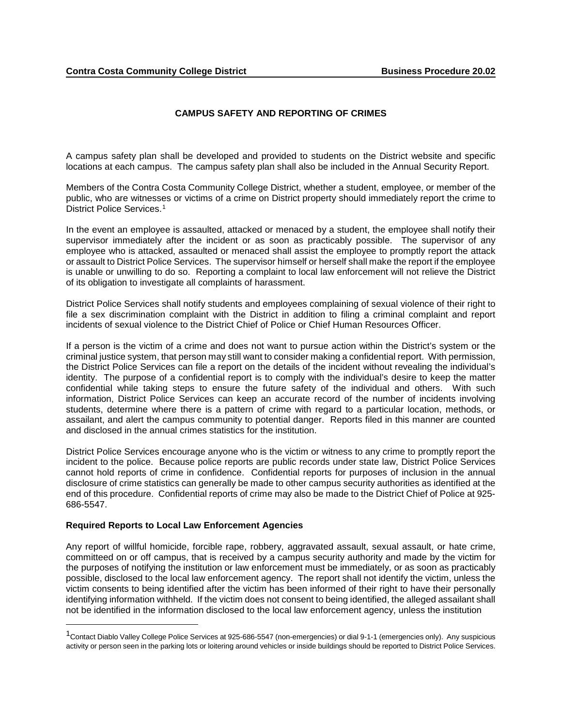## **CAMPUS SAFETY AND REPORTING OF CRIMES**

A campus safety plan shall be developed and provided to students on the District website and specific locations at each campus. The campus safety plan shall also be included in the Annual Security Report.

Members of the Contra Costa Community College District, whether a student, employee, or member of the public, who are witnesses or victims of a crime on District property should immediately report the crime to District Police Services.<sup>1</sup>

In the event an employee is assaulted, attacked or menaced by a student, the employee shall notify their supervisor immediately after the incident or as soon as practicably possible. The supervisor of any employee who is attacked, assaulted or menaced shall assist the employee to promptly report the attack or assault to District Police Services. The supervisor himself or herself shall make the report if the employee is unable or unwilling to do so. Reporting a complaint to local law enforcement will not relieve the District of its obligation to investigate all complaints of harassment.

District Police Services shall notify students and employees complaining of sexual violence of their right to file a sex discrimination complaint with the District in addition to filing a criminal complaint and report incidents of sexual violence to the District Chief of Police or Chief Human Resources Officer.

If a person is the victim of a crime and does not want to pursue action within the District's system or the criminal justice system, that person may still want to consider making a confidential report. With permission, the District Police Services can file a report on the details of the incident without revealing the individual's identity. The purpose of a confidential report is to comply with the individual's desire to keep the matter confidential while taking steps to ensure the future safety of the individual and others. With such information, District Police Services can keep an accurate record of the number of incidents involving students, determine where there is a pattern of crime with regard to a particular location, methods, or assailant, and alert the campus community to potential danger. Reports filed in this manner are counted and disclosed in the annual crimes statistics for the institution.

District Police Services encourage anyone who is the victim or witness to any crime to promptly report the incident to the police. Because police reports are public records under state law, District Police Services cannot hold reports of crime in confidence. Confidential reports for purposes of inclusion in the annual disclosure of crime statistics can generally be made to other campus security authorities as identified at the end of this procedure. Confidential reports of crime may also be made to the District Chief of Police at 925- 686-5547.

## **Required Reports to Local Law Enforcement Agencies**

 $\overline{a}$ 

Any report of willful homicide, forcible rape, robbery, aggravated assault, sexual assault, or hate crime, committeed on or off campus, that is received by a campus security authority and made by the victim for the purposes of notifying the institution or law enforcement must be immediately, or as soon as practicably possible, disclosed to the local law enforcement agency. The report shall not identify the victim, unless the victim consents to being identified after the victim has been informed of their right to have their personally identifying information withheld. If the victim does not consent to being identified, the alleged assailant shall not be identified in the information disclosed to the local law enforcement agency, unless the institution

<span id="page-0-0"></span> $1$ Contact Diablo Valley College Police Services at 925-686-5547 (non-emergencies) or dial 9-1-1 (emergencies only). Any suspicious activity or person seen in the parking lots or loitering around vehicles or inside buildings should be reported to District Police Services.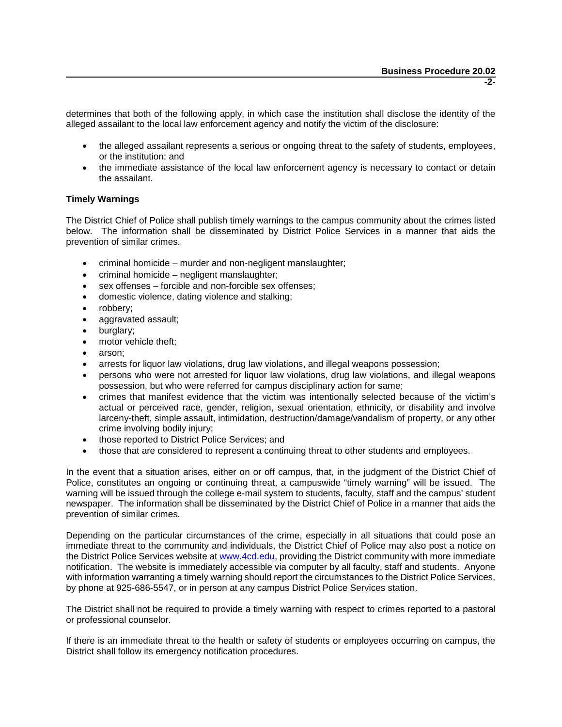determines that both of the following apply, in which case the institution shall disclose the identity of the alleged assailant to the local law enforcement agency and notify the victim of the disclosure:

- the alleged assailant represents a serious or ongoing threat to the safety of students, employees, or the institution; and
- the immediate assistance of the local law enforcement agency is necessary to contact or detain the assailant.

## **Timely Warnings**

The District Chief of Police shall publish timely warnings to the campus community about the crimes listed below. The information shall be disseminated by District Police Services in a manner that aids the prevention of similar crimes.

- criminal homicide murder and non-negligent manslaughter;
- criminal homicide negligent manslaughter;
- sex offenses forcible and non-forcible sex offenses;
- domestic violence, dating [violence and sta](http://www.4cd.edu/)lking;
- robbery;
- aggravated assault;
- burglary;
- motor vehicle theft;
- arson;
- arrests for liquor law violations, drug law violations, and illegal weapons possession;
- persons who were not arrested for liquor law violations, drug law violations, and illegal weapons possession, but who were referred for campus disciplinary action for same;
- crimes that manifest evidence that the victim was intentionally selected because of the victim's actual or perceived race, gender, religion, sexual orientation, ethnicity, or disability and involve larceny-theft, simple assault, intimidation, destruction/damage/vandalism of property, or any other crime involving bodily injury;
- those reported to District Police Services; and
- those that are considered to represent a continuing threat to other students and employees.

In the event that a situation arises, either on or off campus, that, in the judgment of the District Chief of Police, constitutes an ongoing or continuing threat, a campuswide "timely warning" will be issued. The warning will be issued through the college e-mail system to students, faculty, staff and the campus' student newspaper. The information shall be disseminated by the District Chief of Police in a manner that aids the prevention of similar crimes.

Depending on the particular circumstances of the crime, especially in all situations that could pose an immediate threat to the community and individuals, the District Chief of Police may also post a notice on the District Police Services website at www.4cd.edu, providing the District community with more immediate notification. The website is immediately accessible via computer by all faculty, staff and students. Anyone with information warranting a timely warning should report the circumstances to the District Police Services, by phone at 925-686-5547, or in person at any campus District Police Services station.

The District shall not be required to provide a timely warning with respect to crimes reported to a pastoral or professional counselor.

If there is an immediate threat to the health or safety of students or employees occurring on campus, the District shall follow its emergency notification procedures.